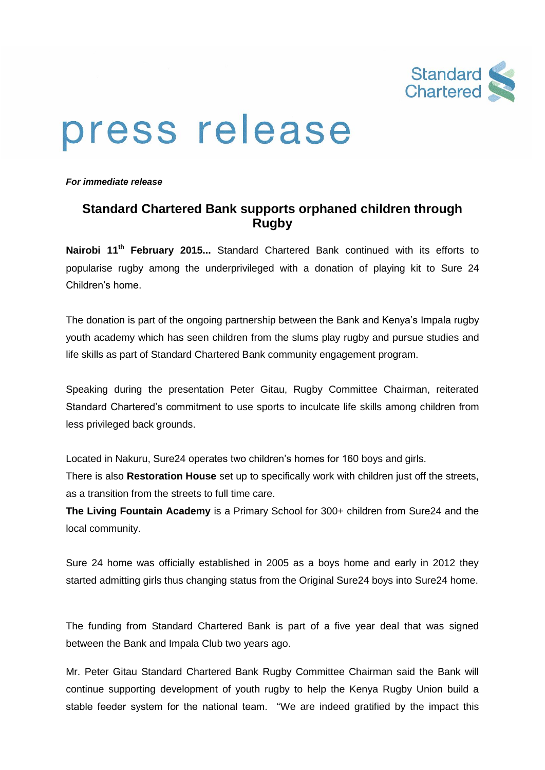

## press release

*For immediate release*

## **Standard Chartered Bank supports orphaned children through Rugby**

**Nairobi 11th February 2015...** Standard Chartered Bank continued with its efforts to popularise rugby among the underprivileged with a donation of playing kit to Sure 24 Children's home.

The donation is part of the ongoing partnership between the Bank and Kenya's Impala rugby youth academy which has seen children from the slums play rugby and pursue studies and life skills as part of Standard Chartered Bank community engagement program.

Speaking during the presentation Peter Gitau, Rugby Committee Chairman, reiterated Standard Chartered's commitment to use sports to inculcate life skills among children from less privileged back grounds.

Located in Nakuru, Sure24 operates two children's homes for 160 boys and girls.

There is also **Restoration House** set up to specifically work with children just off the streets, as a transition from the streets to full time care.

**The Living Fountain Academy** is a Primary School for 300+ children from Sure24 and the local community.

Sure 24 home was officially established in 2005 as a boys home and early in 2012 they started admitting girls thus changing status from the Original Sure24 boys into Sure24 home.

The funding from Standard Chartered Bank is part of a five year deal that was signed between the Bank and Impala Club two years ago.

Mr. Peter Gitau Standard Chartered Bank Rugby Committee Chairman said the Bank will continue supporting development of youth rugby to help the Kenya Rugby Union build a stable feeder system for the national team. "We are indeed gratified by the impact this